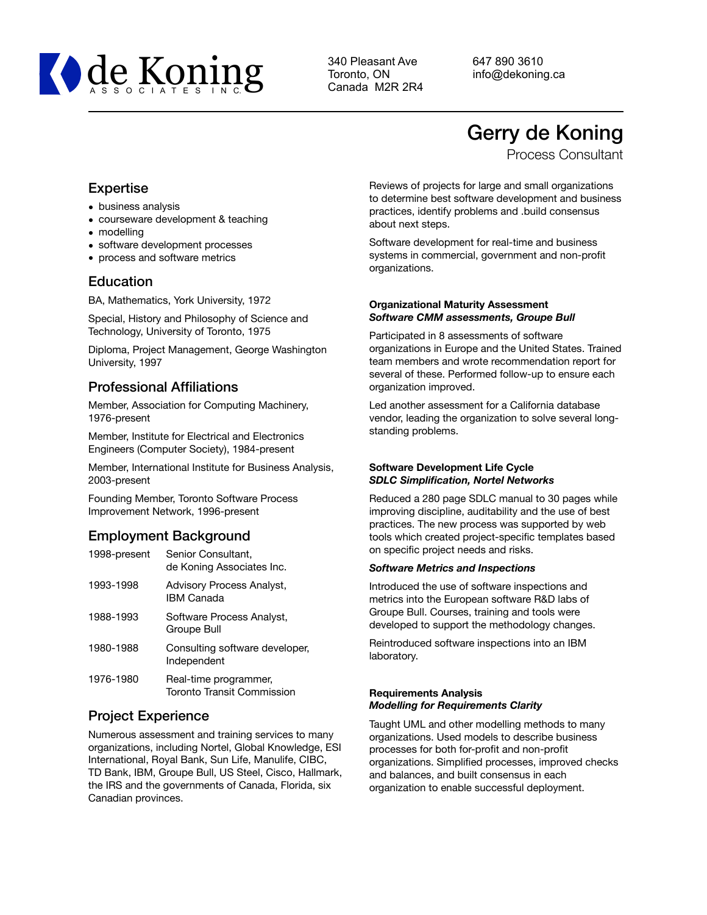

340 Pleasant Ave Toronto, ON Canada M2R 2R4 647 890 3610 info@dekoning.ca

# Gerry de Koning

Process Consultant

# Expertise

- business analysis
- courseware development & teaching
- modelling
- software development processes
- process and software metrics

# Education

BA, Mathematics, York University, 1972

Special, History and Philosophy of Science and Technology, University of Toronto, 1975

Diploma, Project Management, George Washington University, 1997

# Professional Affiliations

Member, Association for Computing Machinery, 1976-present

Member, Institute for Electrical and Electronics Engineers (Computer Society), 1984-present

Member, International Institute for Business Analysis, 2003-present

Founding Member, Toronto Software Process Improvement Network, 1996-present

# Employment Background

| 1998-present | Senior Consultant,<br>de Koning Associates Inc.       |
|--------------|-------------------------------------------------------|
| 1993-1998    | <b>Advisory Process Analyst,</b><br><b>IBM Canada</b> |
| 1988-1993    | Software Process Analyst,<br>Groupe Bull              |
| 1980-1988    | Consulting software developer,<br>Independent         |
| 1976-1980    | Real-time programmer,<br>Toronto Transit Commission   |

# Project Experience

Numerous assessment and training services to many organizations, including Nortel, Global Knowledge, ESI International, Royal Bank, Sun Life, Manulife, CIBC, TD Bank, IBM, Groupe Bull, US Steel, Cisco, Hallmark, the IRS and the governments of Canada, Florida, six Canadian provinces.

Reviews of projects for large and small organizations to determine best software development and business practices, identify problems and .build consensus about next steps.

Software development for real-time and business systems in commercial, government and non-profit organizations.

## **Organizational Maturity Assessment** *Software CMM assessments, Groupe Bull*

Participated in 8 assessments of software organizations in Europe and the United States. Trained team members and wrote recommendation report for several of these. Performed follow-up to ensure each organization improved.

Led another assessment for a California database vendor, leading the organization to solve several longstanding problems.

## **Software Development Life Cycle** *SDLC Simplification, Nortel Networks*

Reduced a 280 page SDLC manual to 30 pages while improving discipline, auditability and the use of best practices. The new process was supported by web tools which created project-specific templates based on specific project needs and risks.

## *Software Metrics and Inspections*

Introduced the use of software inspections and metrics into the European software R&D labs of Groupe Bull. Courses, training and tools were developed to support the methodology changes.

Reintroduced software inspections into an IBM laboratory.

#### **Requirements Analysis** *Modelling for Requirements Clarity*

Taught UML and other modelling methods to many organizations. Used models to describe business processes for both for-profit and non-profit organizations. Simplified processes, improved checks and balances, and built consensus in each organization to enable successful deployment.